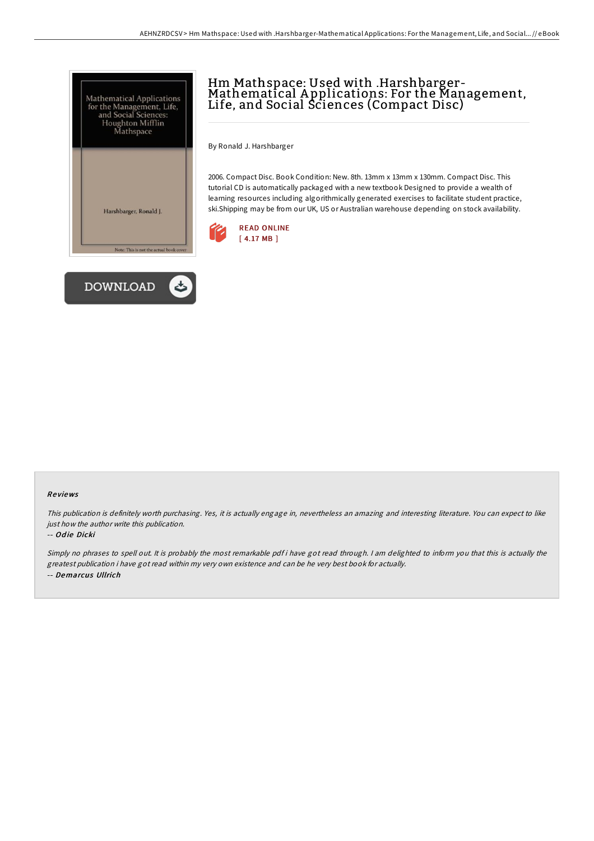



# Hm Mathspace: Used with .Harshbarger-<br>Mathematical Applications: For the Management, Life, and Social Sciences (Compact Disc)

By Ronald J. Harshbarger

2006. Compact Disc. Book Condition: New. 8th. 13mm x 13mm x 130mm. Compact Disc. This tutorial CD is automatically packaged with a new textbook Designed to provide a wealth of learning resources including algorithmically generated exercises to facilitate student practice, ski.Shipping may be from our UK, US or Australian warehouse depending on stock availability.



#### Re views

This publication is definitely worth purchasing. Yes, it is actually engage in, nevertheless an amazing and interesting literature. You can expect to like just how the author write this publication.

#### -- Odie Dicki

Simply no phrases to spell out. It is probably the most remarkable pdf i have got read through. <sup>I</sup> am delighted to inform you that this is actually the greatest publication i have got read within my very own existence and can be he very best book for actually. -- Demarcus Ullrich